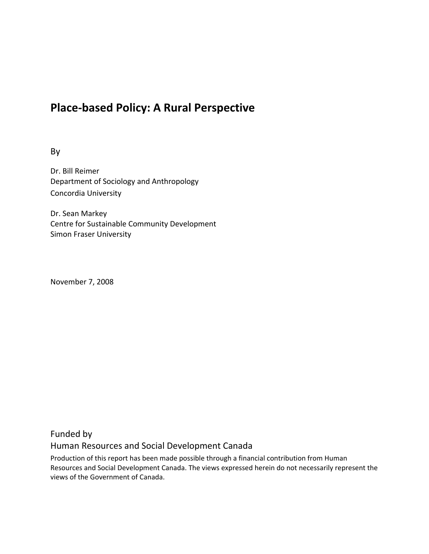# **Place‐based Policy: A Rural Perspective**

By

Dr. Bill Reimer Department of Sociology and Anthropology Concordia University

Dr. Sean Markey Centre for Sustainable Community Development Simon Fraser University

November 7, 2008

## Funded by Human Resources and Social Development Canada

Production of this report has been made possible through a financial contribution from Human Resources and Social Development Canada. The views expressed herein do not necessarily represent the views of the Government of Canada.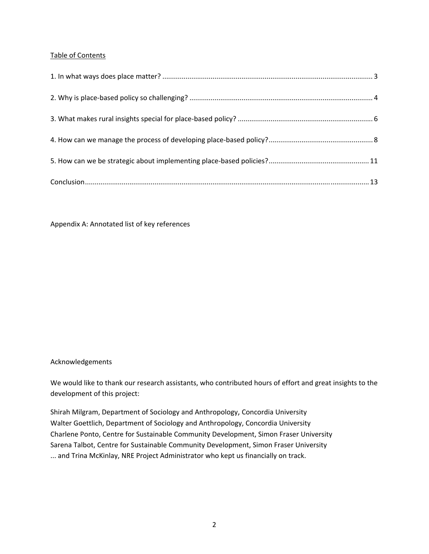#### Table of Contents

Appendix A: Annotated list of key references

#### Acknowledgements

We would like to thank our research assistants, who contributed hours of effort and great insights to the development of this project:

Shirah Milgram, Department of Sociology and Anthropology, Concordia University Walter Goettlich, Department of Sociology and Anthropology, Concordia University Charlene Ponto, Centre for Sustainable Community Development, Simon Fraser University Sarena Talbot, Centre for Sustainable Community Development, Simon Fraser University ... and Trina McKinlay, NRE Project Administrator who kept us financially on track.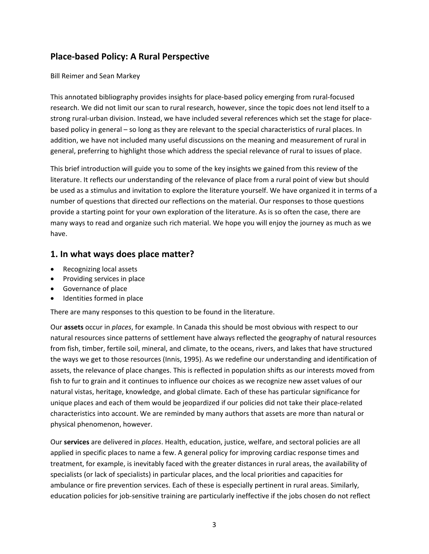## **Place‐based Policy: A Rural Perspective**

Bill Reimer and Sean Markey

This annotated bibliography provides insights for place‐based policy emerging from rural‐focused research. We did not limit our scan to rural research, however, since the topic does not lend itself to a strong rural-urban division. Instead, we have included several references which set the stage for placebased policy in general – so long as they are relevant to the special characteristics of rural places. In addition, we have not included many useful discussions on the meaning and measurement of rural in general, preferring to highlight those which address the special relevance of rural to issues of place.

This brief introduction will guide you to some of the key insights we gained from this review of the literature. It reflects our understanding of the relevance of place from a rural point of view but should be used as a stimulus and invitation to explore the literature yourself. We have organized it in terms of a number of questions that directed our reflections on the material. Our responses to those questions provide a starting point for your own exploration of the literature. As is so often the case, there are many ways to read and organize such rich material. We hope you will enjoy the journey as much as we have.

#### **1. In what ways does place matter?**

- Recognizing local assets
- Providing services in place
- Governance of place
- Identities formed in place

There are many responses to this question to be found in the literature.

Our **assets** occur in *places*, for example. In Canada this should be most obvious with respect to our natural resources since patterns of settlement have always reflected the geography of natural resources from fish, timber, fertile soil, mineral, and climate, to the oceans, rivers, and lakes that have structured the ways we get to those resources (Innis, 1995). As we redefine our understanding and identification of assets, the relevance of place changes. This is reflected in population shifts as our interests moved from fish to fur to grain and it continues to influence our choices as we recognize new asset values of our natural vistas, heritage, knowledge, and global climate. Each of these has particular significance for unique places and each of them would be jeopardized if our policies did not take their place‐related characteristics into account. We are reminded by many authors that assets are more than natural or physical phenomenon, however.

Our **services** are delivered in *places*. Health, education, justice, welfare, and sectoral policies are all applied in specific places to name a few. A general policy for improving cardiac response times and treatment, for example, is inevitably faced with the greater distances in rural areas, the availability of specialists (or lack of specialists) in particular places, and the local priorities and capacities for ambulance or fire prevention services. Each of these is especially pertinent in rural areas. Similarly, education policies for job-sensitive training are particularly ineffective if the jobs chosen do not reflect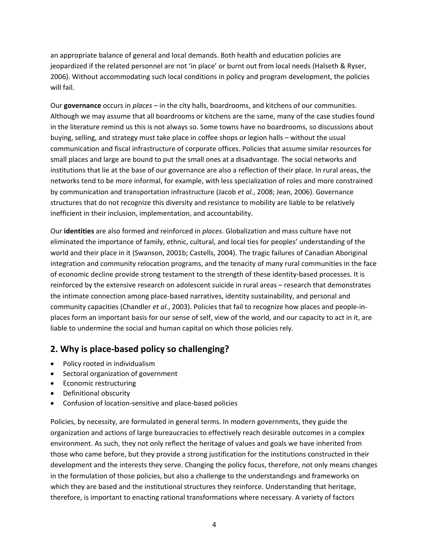an appropriate balance of general and local demands. Both health and education policies are jeopardized if the related personnel are not 'in place' or burnt out from local needs (Halseth & Ryser, 2006). Without accommodating such local conditions in policy and program development, the policies will fail.

Our **governance** occurs in *places* – in the city halls, boardrooms, and kitchens of our communities. Although we may assume that all boardrooms or kitchens are the same, many of the case studies found in the literature remind us this is not always so. Some towns have no boardrooms, so discussions about buying, selling, and strategy must take place in coffee shops or legion halls – without the usual communication and fiscal infrastructure of corporate offices. Policies that assume similar resources for small places and large are bound to put the small ones at a disadvantage. The social networks and institutions that lie at the base of our governance are also a reflection of their place. In rural areas, the networks tend to be more informal, for example, with less specialization of roles and more constrained by communication and transportation infrastructure (Jacob *et al.*, 2008; Jean, 2006). Governance structures that do not recognize this diversity and resistance to mobility are liable to be relatively inefficient in their inclusion, implementation, and accountability.

Our **identities** are also formed and reinforced in *places*. Globalization and mass culture have not eliminated the importance of family, ethnic, cultural, and local ties for peoples' understanding of the world and their place in it (Swanson, 2001b; Castells, 2004). The tragic failures of Canadian Aboriginal integration and community relocation programs, and the tenacity of many rural communities in the face of economic decline provide strong testament to the strength of these identity‐based processes. It is reinforced by the extensive research on adolescent suicide in rural areas – research that demonstrates the intimate connection among place‐based narratives, identity sustainability, and personal and community capacities (Chandler *et al.*, 2003). Policies that fail to recognize how places and people‐in‐ places form an important basis for our sense of self, view of the world, and our capacity to act in it, are liable to undermine the social and human capital on which those policies rely.

## **2. Why is place‐based policy so challenging?**

- Policy rooted in individualism
- Sectoral organization of government
- Economic restructuring
- Definitional obscurity
- Confusion of location‐sensitive and place‐based policies

Policies, by necessity, are formulated in general terms. In modern governments, they guide the organization and actions of large bureaucracies to effectively reach desirable outcomes in a complex environment. As such, they not only reflect the heritage of values and goals we have inherited from those who came before, but they provide a strong justification for the institutions constructed in their development and the interests they serve. Changing the policy focus, therefore, not only means changes in the formulation of those policies, but also a challenge to the understandings and frameworks on which they are based and the institutional structures they reinforce. Understanding that heritage, therefore, is important to enacting rational transformations where necessary. A variety of factors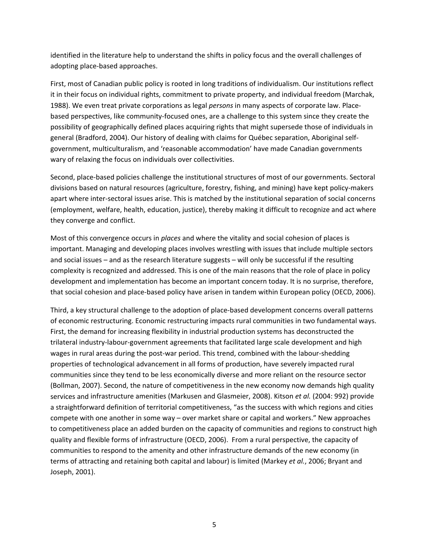identified in the literature help to understand the shifts in policy focus and the overall challenges of adopting place‐based approaches.

First, most of Canadian public policy is rooted in long traditions of individualism. Our institutions reflect it in their focus on individual rights, commitment to private property, and individual freedom (Marchak, 1988). We even treat private corporations as legal *persons* in many aspects of corporate law. Place‐ based perspectives, like community‐focused ones, are a challenge to this system since they create the possibility of geographically defined places acquiring rights that might supersede those of individuals in general (Bradford, 2004). Our history of dealing with claims for Québec separation, Aboriginal self‐ government, multiculturalism, and 'reasonable accommodation' have made Canadian governments wary of relaxing the focus on individuals over collectivities.

Second, place-based policies challenge the institutional structures of most of our governments. Sectoral divisions based on natural resources (agriculture, forestry, fishing, and mining) have kept policy‐makers apart where inter‐sectoral issues arise. This is matched by the institutional separation of social concerns (employment, welfare, health, education, justice), thereby making it difficult to recognize and act where they converge and conflict.

Most of this convergence occurs in *places* and where the vitality and social cohesion of places is important. Managing and developing places involves wrestling with issues that include multiple sectors and social issues – and as the research literature suggests – will only be successful if the resulting complexity is recognized and addressed. This is one of the main reasons that the role of place in policy development and implementation has become an important concern today. It is no surprise, therefore, that social cohesion and place‐based policy have arisen in tandem within European policy (OECD, 2006).

Third, a key structural challenge to the adoption of place‐based development concerns overall patterns of economic restructuring. Economic restructuring impacts rural communities in two fundamental ways. First, the demand for increasing flexibility in industrial production systems has deconstructed the trilateral industry‐labour‐government agreements that facilitated large scale development and high wages in rural areas during the post-war period. This trend, combined with the labour-shedding properties of technological advancement in all forms of production, have severely impacted rural communities since they tend to be less economically diverse and more reliant on the resource sector (Bollman, 2007). Second, the nature of competitiveness in the new economy now demands high quality services and infrastructure amenities (Markusen and Glasmeier, 2008). Kitson *et al.* (2004: 992) provide a straightforward definition of territorial competitiveness, "as the success with which regions and cities compete with one another in some way – over market share or capital and workers." New approaches to competitiveness place an added burden on the capacity of communities and regions to construct high quality and flexible forms of infrastructure (OECD, 2006). From a rural perspective, the capacity of communities to respond to the amenity and other infrastructure demands of the new economy (in terms of attracting and retaining both capital and labour) is limited (Markey *et al.*, 2006; Bryant and Joseph, 2001).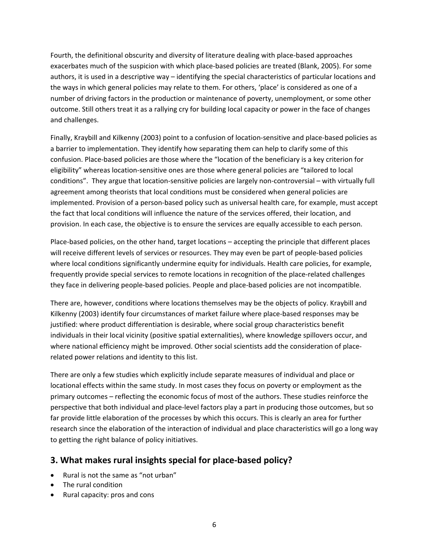Fourth, the definitional obscurity and diversity of literature dealing with place‐based approaches exacerbates much of the suspicion with which place‐based policies are treated (Blank, 2005). For some authors, it is used in a descriptive way – identifying the special characteristics of particular locations and the ways in which general policies may relate to them. For others, 'place' is considered as one of a number of driving factors in the production or maintenance of poverty, unemployment, or some other outcome. Still others treat it as a rallying cry for building local capacity or power in the face of changes and challenges.

Finally, Kraybill and Kilkenny (2003) point to a confusion of location‐sensitive and place‐based policies as a barrier to implementation. They identify how separating them can help to clarify some of this confusion. Place‐based policies are those where the "location of the beneficiary is a key criterion for eligibility" whereas location‐sensitive ones are those where general policies are "tailored to local conditions". They argue that location‐sensitive policies are largely non‐controversial – with virtually full agreement among theorists that local conditions must be considered when general policies are implemented. Provision of a person‐based policy such as universal health care, for example, must accept the fact that local conditions will influence the nature of the services offered, their location, and provision. In each case, the objective is to ensure the services are equally accessible to each person.

Place‐based policies, on the other hand, target locations – accepting the principle that different places will receive different levels of services or resources. They may even be part of people‐based policies where local conditions significantly undermine equity for individuals. Health care policies, for example, frequently provide special services to remote locations in recognition of the place-related challenges they face in delivering people‐based policies. People and place‐based policies are not incompatible.

There are, however, conditions where locations themselves may be the objects of policy. Kraybill and Kilkenny (2003) identify four circumstances of market failure where place‐based responses may be justified: where product differentiation is desirable, where social group characteristics benefit individuals in their local vicinity (positive spatial externalities), where knowledge spillovers occur, and where national efficiency might be improved. Other social scientists add the consideration of placerelated power relations and identity to this list.

There are only a few studies which explicitly include separate measures of individual and place or locational effects within the same study. In most cases they focus on poverty or employment as the primary outcomes – reflecting the economic focus of most of the authors. These studies reinforce the perspective that both individual and place‐level factors play a part in producing those outcomes, but so far provide little elaboration of the processes by which this occurs. This is clearly an area for further research since the elaboration of the interaction of individual and place characteristics will go a long way to getting the right balance of policy initiatives.

#### **3. What makes rural insights special for place‐based policy?**

- Rural is not the same as "not urban"
- The rural condition
- Rural capacity: pros and cons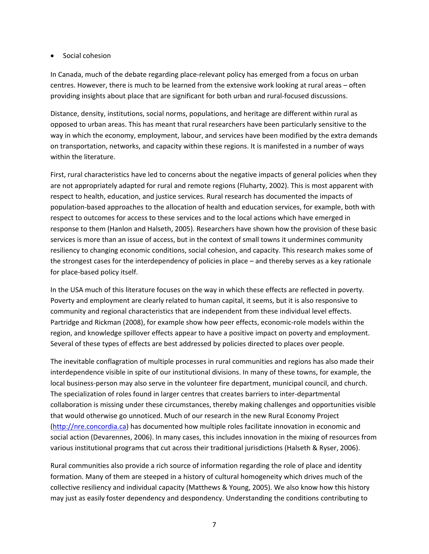#### • Social cohesion

In Canada, much of the debate regarding place‐relevant policy has emerged from a focus on urban centres. However, there is much to be learned from the extensive work looking at rural areas – often providing insights about place that are significant for both urban and rural‐focused discussions.

Distance, density, institutions, social norms, populations, and heritage are different within rural as opposed to urban areas. This has meant that rural researchers have been particularly sensitive to the way in which the economy, employment, labour, and services have been modified by the extra demands on transportation, networks, and capacity within these regions. It is manifested in a number of ways within the literature.

First, rural characteristics have led to concerns about the negative impacts of general policies when they are not appropriately adapted for rural and remote regions (Fluharty, 2002). This is most apparent with respect to health, education, and justice services. Rural research has documented the impacts of population‐based approaches to the allocation of health and education services, for example, both with respect to outcomes for access to these services and to the local actions which have emerged in response to them (Hanlon and Halseth, 2005). Researchers have shown how the provision of these basic services is more than an issue of access, but in the context of small towns it undermines community resiliency to changing economic conditions, social cohesion, and capacity. This research makes some of the strongest cases for the interdependency of policies in place – and thereby serves as a key rationale for place‐based policy itself.

In the USA much of this literature focuses on the way in which these effects are reflected in poverty. Poverty and employment are clearly related to human capital, it seems, but it is also responsive to community and regional characteristics that are independent from these individual level effects. Partridge and Rickman (2008), for example show how peer effects, economic‐role models within the region, and knowledge spillover effects appear to have a positive impact on poverty and employment. Several of these types of effects are best addressed by policies directed to places over people.

The inevitable conflagration of multiple processes in rural communities and regions has also made their interdependence visible in spite of our institutional divisions. In many of these towns, for example, the local business-person may also serve in the volunteer fire department, municipal council, and church. The specialization of roles found in larger centres that creates barriers to inter‐departmental collaboration is missing under these circumstances, thereby making challenges and opportunities visible that would otherwise go unnoticed. Much of our research in the new Rural Economy Project (http://nre.concordia.ca) has documented how multiple roles facilitate innovation in economic and social action (Devarennes, 2006). In many cases, this includes innovation in the mixing of resources from various institutional programs that cut across their traditional jurisdictions (Halseth & Ryser, 2006).

Rural communities also provide a rich source of information regarding the role of place and identity formation. Many of them are steeped in a history of cultural homogeneity which drives much of the collective resiliency and individual capacity (Matthews & Young, 2005). We also know how this history may just as easily foster dependency and despondency. Understanding the conditions contributing to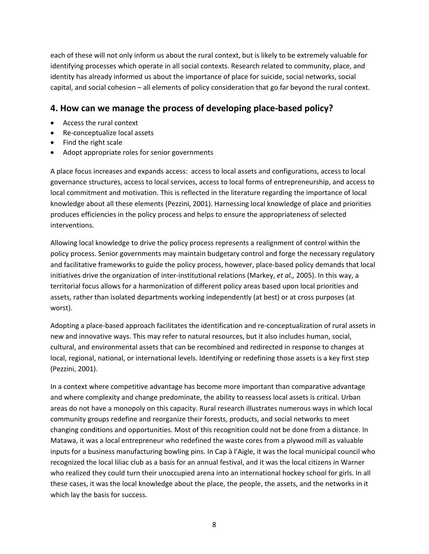each of these will not only inform us about the rural context, but is likely to be extremely valuable for identifying processes which operate in all social contexts. Research related to community, place, and identity has already informed us about the importance of place for suicide, social networks, social capital, and social cohesion – all elements of policy consideration that go far beyond the rural context.

#### **4. How can we manage the process of developing place‐based policy?**

- Access the rural context
- Re‐conceptualize local assets
- Find the right scale
- Adopt appropriate roles for senior governments

A place focus increases and expands access: access to local assets and configurations, access to local governance structures, access to local services, access to local forms of entrepreneurship, and access to local commitment and motivation. This is reflected in the literature regarding the importance of local knowledge about all these elements (Pezzini, 2001). Harnessing local knowledge of place and priorities produces efficiencies in the policy process and helps to ensure the appropriateness of selected interventions.

Allowing local knowledge to drive the policy process represents a realignment of control within the policy process. Senior governments may maintain budgetary control and forge the necessary regulatory and facilitative frameworks to guide the policy process, however, place-based policy demands that local initiatives drive the organization of inter‐institutional relations (Markey, *et al.,* 2005). In this way, a territorial focus allows for a harmonization of different policy areas based upon local priorities and assets, rather than isolated departments working independently (at best) or at cross purposes (at worst).

Adopting a place‐based approach facilitates the identification and re‐conceptualization of rural assets in new and innovative ways. This may refer to natural resources, but it also includes human, social, cultural, and environmental assets that can be recombined and redirected in response to changes at local, regional, national, or international levels. Identifying or redefining those assets is a key first step (Pezzini, 2001).

In a context where competitive advantage has become more important than comparative advantage and where complexity and change predominate, the ability to reassess local assets is critical. Urban areas do not have a monopoly on this capacity. Rural research illustrates numerous ways in which local community groups redefine and reorganize their forests, products, and social networks to meet changing conditions and opportunities. Most of this recognition could not be done from a distance. In Matawa, it was a local entrepreneur who redefined the waste cores from a plywood mill as valuable inputs for a business manufacturing bowling pins. In Cap à l'Aigle, it was the local municipal council who recognized the local liliac club as a basis for an annual festival, and it was the local citizens in Warner who realized they could turn their unoccupied arena into an international hockey school for girls. In all these cases, it was the local knowledge about the place, the people, the assets, and the networks in it which lay the basis for success.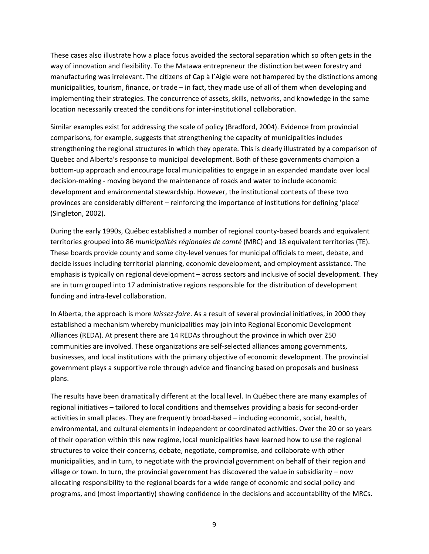These cases also illustrate how a place focus avoided the sectoral separation which so often gets in the way of innovation and flexibility. To the Matawa entrepreneur the distinction between forestry and manufacturing was irrelevant. The citizens of Cap à l'Aigle were not hampered by the distinctions among municipalities, tourism, finance, or trade – in fact, they made use of all of them when developing and implementing their strategies. The concurrence of assets, skills, networks, and knowledge in the same location necessarily created the conditions for inter‐institutional collaboration.

Similar examples exist for addressing the scale of policy (Bradford, 2004). Evidence from provincial comparisons, for example, suggests that strengthening the capacity of municipalities includes strengthening the regional structures in which they operate. This is clearly illustrated by a comparison of Quebec and Alberta's response to municipal development. Both of these governments champion a bottom‐up approach and encourage local municipalities to engage in an expanded mandate over local decision‐making ‐ moving beyond the maintenance of roads and water to include economic development and environmental stewardship. However, the institutional contexts of these two provinces are considerably different – reinforcing the importance of institutions for defining 'place' (Singleton, 2002).

During the early 1990s, Québec established a number of regional county-based boards and equivalent territories grouped into 86 *municipalités régionales de comté* (MRC) and 18 equivalent territories (TE). These boards provide county and some city-level venues for municipal officials to meet, debate, and decide issues including territorial planning, economic development, and employment assistance. The emphasis is typically on regional development – across sectors and inclusive of social development. They are in turn grouped into 17 administrative regions responsible for the distribution of development funding and intra‐level collaboration.

In Alberta, the approach is more *laissez‐faire*. As a result of several provincial initiatives, in 2000 they established a mechanism whereby municipalities may join into Regional Economic Development Alliances (REDA). At present there are 14 REDAs throughout the province in which over 250 communities are involved. These organizations are self‐selected alliances among governments, businesses, and local institutions with the primary objective of economic development. The provincial government plays a supportive role through advice and financing based on proposals and business plans.

The results have been dramatically different at the local level. In Québec there are many examples of regional initiatives – tailored to local conditions and themselves providing a basis for second‐order activities in small places. They are frequently broad‐based – including economic, social, health, environmental, and cultural elements in independent or coordinated activities. Over the 20 or so years of their operation within this new regime, local municipalities have learned how to use the regional structures to voice their concerns, debate, negotiate, compromise, and collaborate with other municipalities, and in turn, to negotiate with the provincial government on behalf of their region and village or town. In turn, the provincial government has discovered the value in subsidiarity – now allocating responsibility to the regional boards for a wide range of economic and social policy and programs, and (most importantly) showing confidence in the decisions and accountability of the MRCs.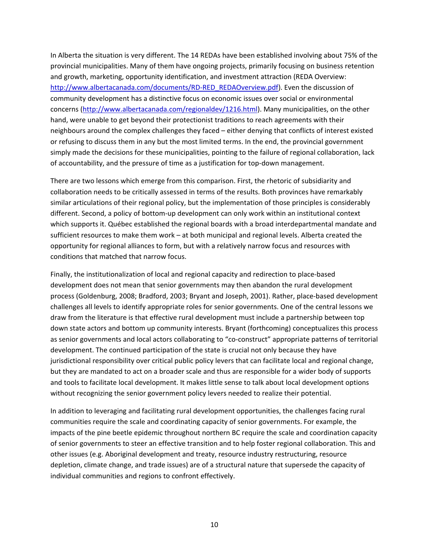In Alberta the situation is very different. The 14 REDAs have been established involving about 75% of the provincial municipalities. Many of them have ongoing projects, primarily focusing on business retention and growth, marketing, opportunity identification, and investment attraction (REDA Overview: http://www.albertacanada.com/documents/RD-RED\_REDAOverview.pdf). Even the discussion of community development has a distinctive focus on economic issues over social or environmental concerns (http://www.albertacanada.com/regionaldev/1216.html). Many municipalities, on the other hand, were unable to get beyond their protectionist traditions to reach agreements with their neighbours around the complex challenges they faced – either denying that conflicts of interest existed or refusing to discuss them in any but the most limited terms. In the end, the provincial government simply made the decisions for these municipalities, pointing to the failure of regional collaboration, lack of accountability, and the pressure of time as a justification for top‐down management.

There are two lessons which emerge from this comparison. First, the rhetoric of subsidiarity and collaboration needs to be critically assessed in terms of the results. Both provinces have remarkably similar articulations of their regional policy, but the implementation of those principles is considerably different. Second, a policy of bottom‐up development can only work within an institutional context which supports it. Québec established the regional boards with a broad interdepartmental mandate and sufficient resources to make them work – at both municipal and regional levels. Alberta created the opportunity for regional alliances to form, but with a relatively narrow focus and resources with conditions that matched that narrow focus.

Finally, the institutionalization of local and regional capacity and redirection to place‐based development does not mean that senior governments may then abandon the rural development process (Goldenburg, 2008; Bradford, 2003; Bryant and Joseph, 2001). Rather, place-based development challenges all levels to identify appropriate roles for senior governments. One of the central lessons we draw from the literature is that effective rural development must include a partnership between top down state actors and bottom up community interests. Bryant (forthcoming) conceptualizes this process as senior governments and local actors collaborating to "co-construct" appropriate patterns of territorial development. The continued participation of the state is crucial not only because they have jurisdictional responsibility over critical public policy levers that can facilitate local and regional change, but they are mandated to act on a broader scale and thus are responsible for a wider body of supports and tools to facilitate local development. It makes little sense to talk about local development options without recognizing the senior government policy levers needed to realize their potential.

In addition to leveraging and facilitating rural development opportunities, the challenges facing rural communities require the scale and coordinating capacity of senior governments. For example, the impacts of the pine beetle epidemic throughout northern BC require the scale and coordination capacity of senior governments to steer an effective transition and to help foster regional collaboration. This and other issues (e.g. Aboriginal development and treaty, resource industry restructuring, resource depletion, climate change, and trade issues) are of a structural nature that supersede the capacity of individual communities and regions to confront effectively.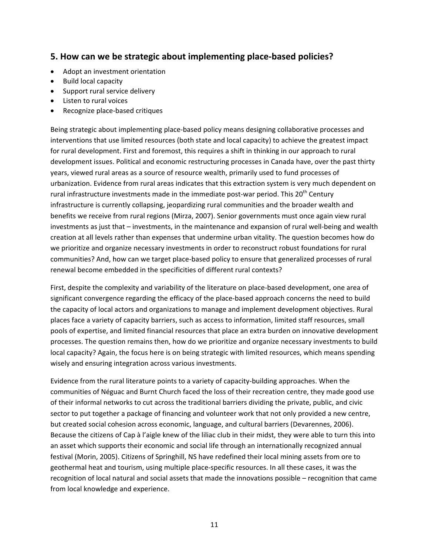## **5. How can we be strategic about implementing place‐based policies?**

- Adopt an investment orientation
- Build local capacity
- Support rural service delivery
- Listen to rural voices
- Recognize place‐based critiques

Being strategic about implementing place‐based policy means designing collaborative processes and interventions that use limited resources (both state and local capacity) to achieve the greatest impact for rural development. First and foremost, this requires a shift in thinking in our approach to rural development issues. Political and economic restructuring processes in Canada have, over the past thirty years, viewed rural areas as a source of resource wealth, primarily used to fund processes of urbanization. Evidence from rural areas indicates that this extraction system is very much dependent on rural infrastructure investments made in the immediate post-war period. This  $20<sup>th</sup>$  Century infrastructure is currently collapsing, jeopardizing rural communities and the broader wealth and benefits we receive from rural regions (Mirza, 2007). Senior governments must once again view rural investments as just that – investments, in the maintenance and expansion of rural well-being and wealth creation at all levels rather than expenses that undermine urban vitality. The question becomes how do we prioritize and organize necessary investments in order to reconstruct robust foundations for rural communities? And, how can we target place‐based policy to ensure that generalized processes of rural renewal become embedded in the specificities of different rural contexts?

First, despite the complexity and variability of the literature on place‐based development, one area of significant convergence regarding the efficacy of the place-based approach concerns the need to build the capacity of local actors and organizations to manage and implement development objectives. Rural places face a variety of capacity barriers, such as access to information, limited staff resources, small pools of expertise, and limited financial resources that place an extra burden on innovative development processes. The question remains then, how do we prioritize and organize necessary investments to build local capacity? Again, the focus here is on being strategic with limited resources, which means spending wisely and ensuring integration across various investments.

Evidence from the rural literature points to a variety of capacity‐building approaches. When the communities of Néguac and Burnt Church faced the loss of their recreation centre, they made good use of their informal networks to cut across the traditional barriers dividing the private, public, and civic sector to put together a package of financing and volunteer work that not only provided a new centre, but created social cohesion across economic, language, and cultural barriers (Devarennes, 2006). Because the citizens of Cap à l'aigle knew of the liliac club in their midst, they were able to turn this into an asset which supports their economic and social life through an internationally recognized annual festival (Morin, 2005). Citizens of Springhill, NS have redefined their local mining assets from ore to geothermal heat and tourism, using multiple place‐specific resources. In all these cases, it was the recognition of local natural and social assets that made the innovations possible – recognition that came from local knowledge and experience.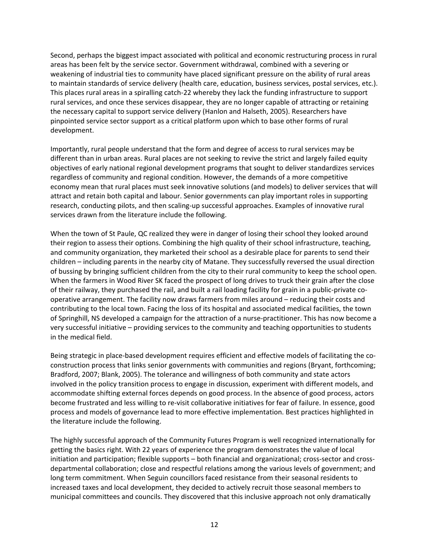Second, perhaps the biggest impact associated with political and economic restructuring process in rural areas has been felt by the service sector. Government withdrawal, combined with a severing or weakening of industrial ties to community have placed significant pressure on the ability of rural areas to maintain standards of service delivery (health care, education, business services, postal services, etc.). This places rural areas in a spiralling catch‐22 whereby they lack the funding infrastructure to support rural services, and once these services disappear, they are no longer capable of attracting or retaining the necessary capital to support service delivery (Hanlon and Halseth, 2005). Researchers have pinpointed service sector support as a critical platform upon which to base other forms of rural development.

Importantly, rural people understand that the form and degree of access to rural services may be different than in urban areas. Rural places are not seeking to revive the strict and largely failed equity objectives of early national regional development programs that sought to deliver standardizes services regardless of community and regional condition. However, the demands of a more competitive economy mean that rural places must seek innovative solutions (and models) to deliver services that will attract and retain both capital and labour. Senior governments can play important roles in supporting research, conducting pilots, and then scaling‐up successful approaches. Examples of innovative rural services drawn from the literature include the following.

When the town of St Paule, QC realized they were in danger of losing their school they looked around their region to assess their options. Combining the high quality of their school infrastructure, teaching, and community organization, they marketed their school as a desirable place for parents to send their children – including parents in the nearby city of Matane. They successfully reversed the usual direction of bussing by bringing sufficient children from the city to their rural community to keep the school open. When the farmers in Wood River SK faced the prospect of long drives to truck their grain after the close of their railway, they purchased the rail, and built a rail loading facility for grain in a public‐private co‐ operative arrangement. The facility now draws farmers from miles around – reducing their costs and contributing to the local town. Facing the loss of its hospital and associated medical facilities, the town of Springhill, NS developed a campaign for the attraction of a nurse‐practitioner. This has now become a very successful initiative – providing services to the community and teaching opportunities to students in the medical field.

Being strategic in place-based development requires efficient and effective models of facilitating the coconstruction process that links senior governments with communities and regions (Bryant, forthcoming; Bradford, 2007; Blank, 2005). The tolerance and willingness of both community and state actors involved in the policy transition process to engage in discussion, experiment with different models, and accommodate shifting external forces depends on good process. In the absence of good process, actors become frustrated and less willing to re‐visit collaborative initiatives for fear of failure. In essence, good process and models of governance lead to more effective implementation. Best practices highlighted in the literature include the following.

The highly successful approach of the Community Futures Program is well recognized internationally for getting the basics right. With 22 years of experience the program demonstrates the value of local initiation and participation; flexible supports – both financial and organizational; cross‐sector and cross‐ departmental collaboration; close and respectful relations among the various levels of government; and long term commitment. When Seguin councillors faced resistance from their seasonal residents to increased taxes and local development, they decided to actively recruit those seasonal members to municipal committees and councils. They discovered that this inclusive approach not only dramatically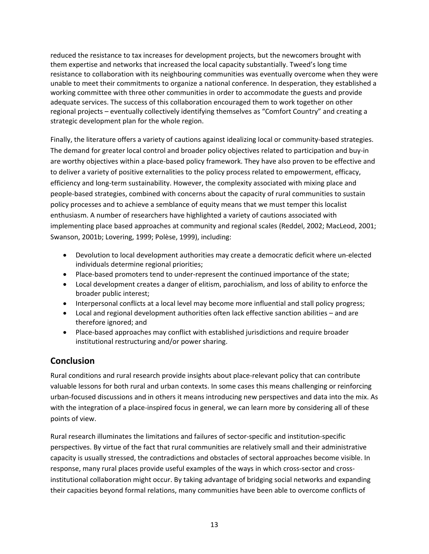reduced the resistance to tax increases for development projects, but the newcomers brought with them expertise and networks that increased the local capacity substantially. Tweed's long time resistance to collaboration with its neighbouring communities was eventually overcome when they were unable to meet their commitments to organize a national conference. In desperation, they established a working committee with three other communities in order to accommodate the guests and provide adequate services. The success of this collaboration encouraged them to work together on other regional projects – eventually collectively identifying themselves as "Comfort Country" and creating a strategic development plan for the whole region.

Finally, the literature offers a variety of cautions against idealizing local or community‐based strategies. The demand for greater local control and broader policy objectives related to participation and buy‐in are worthy objectives within a place‐based policy framework. They have also proven to be effective and to deliver a variety of positive externalities to the policy process related to empowerment, efficacy, efficiency and long-term sustainability. However, the complexity associated with mixing place and people‐based strategies, combined with concerns about the capacity of rural communities to sustain policy processes and to achieve a semblance of equity means that we must temper this localist enthusiasm. A number of researchers have highlighted a variety of cautions associated with implementing place based approaches at community and regional scales (Reddel, 2002; MacLeod, 2001; Swanson, 2001b; Lovering, 1999; Polèse, 1999), including:

- Devolution to local development authorities may create a democratic deficit where un‐elected individuals determine regional priorities;
- Place-based promoters tend to under-represent the continued importance of the state;
- Local development creates a danger of elitism, parochialism, and loss of ability to enforce the broader public interest;
- Interpersonal conflicts at a local level may become more influential and stall policy progress;
- Local and regional development authorities often lack effective sanction abilities and are therefore ignored; and
- Place-based approaches may conflict with established jurisdictions and require broader institutional restructuring and/or power sharing.

## **Conclusion**

Rural conditions and rural research provide insights about place‐relevant policy that can contribute valuable lessons for both rural and urban contexts. In some cases this means challenging or reinforcing urban‐focused discussions and in others it means introducing new perspectives and data into the mix. As with the integration of a place-inspired focus in general, we can learn more by considering all of these points of view.

Rural research illuminates the limitations and failures of sector‐specific and institution‐specific perspectives. By virtue of the fact that rural communities are relatively small and their administrative capacity is usually stressed, the contradictions and obstacles of sectoral approaches become visible. In response, many rural places provide useful examples of the ways in which cross‐sector and cross‐ institutional collaboration might occur. By taking advantage of bridging social networks and expanding their capacities beyond formal relations, many communities have been able to overcome conflicts of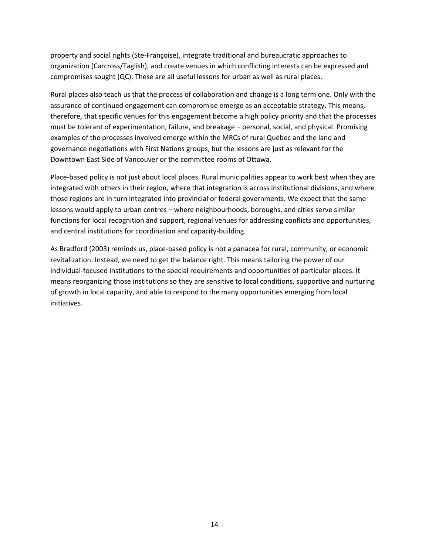property and social rights (Ste‐Françoise), integrate traditional and bureaucratic approaches to organization (Carcross/Taglish), and create venues in which conflicting interests can be expressed and compromises sought (QC). These are all useful lessons for urban as well as rural places.

Rural places also teach us that the process of collaboration and change is a long term one. Only with the assurance of continued engagement can compromise emerge as an acceptable strategy. This means, therefore, that specific venues for this engagement become a high policy priority and that the processes must be tolerant of experimentation, failure, and breakage – personal, social, and physical. Promising examples of the processes involved emerge within the MRCs of rural Québec and the land and governance negotiations with First Nations groups, but the lessons are just as relevant for the Downtown East Side of Vancouver or the committee rooms of Ottawa.

Place‐based policy is not just about local places. Rural municipalities appear to work best when they are integrated with others in their region, where that integration is across institutional divisions, and where those regions are in turn integrated into provincial or federal governments. We expect that the same lessons would apply to urban centres – where neighbourhoods, boroughs, and cities serve similar functions for local recognition and support, regional venues for addressing conflicts and opportunities, and central institutions for coordination and capacity‐building.

As Bradford (2003) reminds us, place‐based policy is not a panacea for rural, community, or economic revitalization. Instead, we need to get the balance right. This means tailoring the power of our individual‐focused institutions to the special requirements and opportunities of particular places. It means reorganizing those institutions so they are sensitive to local conditions, supportive and nurturing of growth in local capacity, and able to respond to the many opportunities emerging from local initiatives.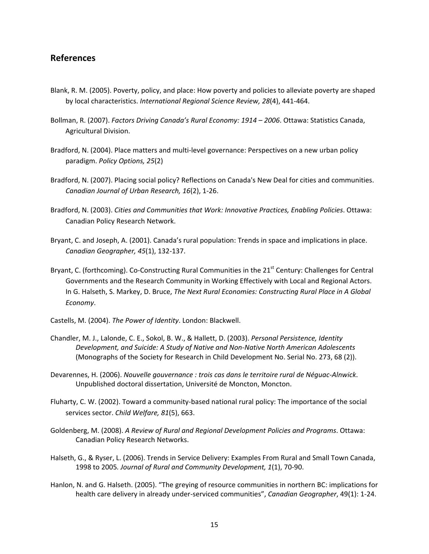#### **References**

- Blank, R. M. (2005). Poverty, policy, and place: How poverty and policies to alleviate poverty are shaped by local characteristics. *International Regional Science Review, 28*(4), 441‐464.
- Bollman, R. (2007). *Factors Driving Canada's Rural Economy: 1914 – 2006*. Ottawa: Statistics Canada, Agricultural Division.
- Bradford, N. (2004). Place matters and multi‐level governance: Perspectives on a new urban policy paradigm. *Policy Options, 25*(2)
- Bradford, N. (2007). Placing social policy? Reflections on Canada's New Deal for cities and communities. *Canadian Journal of Urban Research, 16*(2), 1‐26.
- Bradford, N. (2003). *Cities and Communities that Work: Innovative Practices, Enabling Policies*. Ottawa: Canadian Policy Research Network.
- Bryant, C. and Joseph, A. (2001). Canada's rural population: Trends in space and implications in place. *Canadian Geographer, 45*(1), 132‐137.
- Bryant, C. (forthcoming). Co-Constructing Rural Communities in the 21<sup>st</sup> Century: Challenges for Central Governments and the Research Community in Working Effectively with Local and Regional Actors. In G. Halseth, S. Markey, D. Bruce, *The Next Rural Economies: Constructing Rural Place in A Global Economy*.
- Castells, M. (2004). *The Power of Identity*. London: Blackwell.
- Chandler, M. J., Lalonde, C. E., Sokol, B. W., & Hallett, D. (2003). *Personal Persistence, Identity Development, and Suicide: A Study of Native and Non‐Native North American Adolescents* (Monographs of the Society for Research in Child Development No. Serial No. 273, 68 (2)).
- Devarennes, H. (2006). *Nouvelle gouvernance : trois cas dans le territoire rural de Néguac‐Alnwick*. Unpublished doctoral dissertation, Université de Moncton, Moncton.
- Fluharty, C. W. (2002). Toward a community‐based national rural policy: The importance of the social services sector. *Child Welfare, 81*(5), 663.
- Goldenberg, M. (2008). *A Review of Rural and Regional Development Policies and Programs*. Ottawa: Canadian Policy Research Networks.
- Halseth, G., & Ryser, L. (2006). Trends in Service Delivery: Examples From Rural and Small Town Canada, 1998 to 2005*. Journal of Rural and Community Development, 1*(1), 70‐90.
- Hanlon, N. and G. Halseth. (2005). "The greying of resource communities in northern BC: implications for health care delivery in already under‐serviced communities", *Canadian Geographer*, 49(1): 1‐24.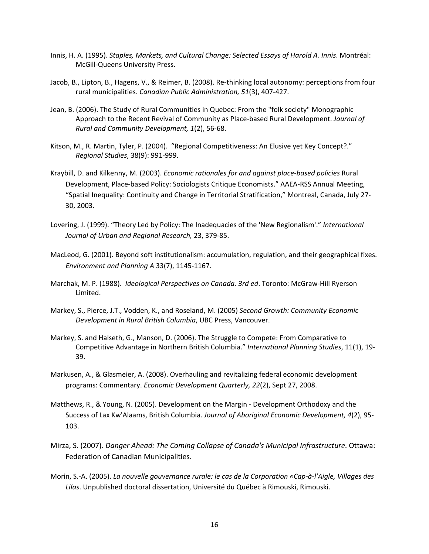- Innis, H. A. (1995). *Staples, Markets, and Cultural Change: Selected Essays of Harold A. Innis*. Montréal: McGill‐Queens University Press.
- Jacob, B., Lipton, B., Hagens, V., & Reimer, B. (2008). Re‐thinking local autonomy: perceptions from four rural municipalities. *Canadian Public Administration, 51*(3), 407‐427.
- Jean, B. (2006). The Study of Rural Communities in Quebec: From the "folk society" Monographic Approach to the Recent Revival of Community as Place‐based Rural Development. *Journal of Rural and Community Development, 1*(2), 56‐68.
- Kitson, M., R. Martin, Tyler, P. (2004). "Regional Competitiveness: An Elusive yet Key Concept?." *Regional Studies*, 38(9): 991‐999.
- Kraybill, D. and Kilkenny, M. (2003). *Economic rationales for and against place‐based policies* Rural Development, Place‐based Policy: Sociologists Critique Economists." AAEA‐RSS Annual Meeting, "Spatial Inequality: Continuity and Change in Territorial Stratification," Montreal, Canada, July 27‐ 30, 2003.
- Lovering, J. (1999). "Theory Led by Policy: The Inadequacies of the 'New Regionalism'." *International Journal of Urban and Regional Research,* 23, 379‐85.
- MacLeod, G. (2001). Beyond soft institutionalism: accumulation, regulation, and their geographical fixes. *Environment and Planning A* 33(7), 1145‐1167.
- Marchak, M. P. (1988). *Ideological Perspectives on Canada. 3rd ed*. Toronto: McGraw‐Hill Ryerson Limited.
- Markey, S., Pierce, J.T., Vodden, K., and Roseland, M. (2005) *Second Growth: Community Economic Development in Rural British Columbia*, UBC Press, Vancouver.
- Markey, S. and Halseth, G., Manson, D. (2006). The Struggle to Compete: From Comparative to Competitive Advantage in Northern British Columbia." *International Planning Studies*, 11(1), 19‐ 39.
- Markusen, A., & Glasmeier, A. (2008). Overhauling and revitalizing federal economic development programs: Commentary. *Economic Development Quarterly, 22*(2), Sept 27, 2008.
- Matthews, R., & Young, N. (2005). Development on the Margin ‐ Development Orthodoxy and the Success of Lax Kw'Alaams, British Columbia. *Journal of Aboriginal Economic Development, 4*(2), 95‐ 103.
- Mirza, S. (2007). *Danger Ahead: The Coming Collapse of Canada's Municipal Infrastructure*. Ottawa: Federation of Canadian Municipalities.
- Morin, S.‐A. (2005). *La nouvelle gouvernance rurale: le cas de la Corporation «Cap‐à‐l'Aigle, Villages des Lilas*. Unpublished doctoral dissertation, Université du Québec à Rimouski, Rimouski.